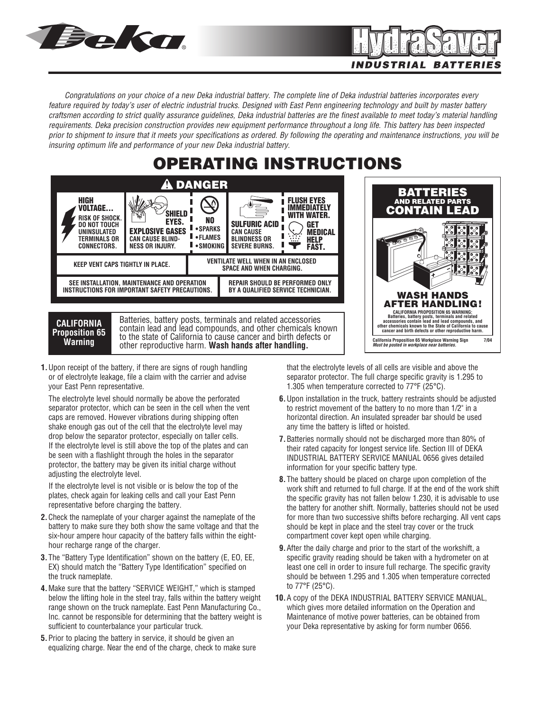

## Congratulations on your choice of a new Deka industrial battery. The complete line of Deka industrial batteries incorporates every feature required by today's user of electric industrial trucks. Designed with East Penn engineering technology and built by master battery craftsmen according to strict quality assurance guidelines, Deka industrial batteries are the finest available to meet today's material handling requirements. Deka precision construction provides new equipment performance throughout a long life. This battery has been inspected prior to shipment to insure that it meets vour specifications as ordered. By following the operating and maintenance instructions, you will be *insuring optimum life and performance of your new Deka industrial battery.*



other reproductive harm. **Wash hands after handling.**

**1.**Upon receipt of the battery, if there are signs of rough handling or of electrolyte leakage, file a claim with the carrier and advise your East Penn representative.

The electrolyte level should normally be above the perforated separator protector, which can be seen in the cell when the vent caps are removed. However vibrations during shipping often shake enough gas out of the cell that the electrolyte level may drop below the separator protector, especially on taller cells. If the electrolyte level is still above the top of the plates and can be seen with a flashlight through the holes in the separator protector, the battery may be given its initial charge without adjusting the electrolyte level.

If the electrolyte level is not visible or is below the top of the plates, check again for leaking cells and call your East Penn representative before charging the battery.

- **2.**Check the nameplate of your charger against the nameplate of the battery to make sure they both show the same voltage and that the six-hour ampere hour capacity of the battery falls within the eighthour recharge range of the charger.
- **3.**The "Battery Type Identification" shown on the battery (E, EO, EE, EX) should match the "Battery Type Identification" specified on the truck nameplate.
- **4.**Make sure that the battery "SERVICE WEIGHT," which is stamped below the lifting hole in the steel tray, falls within the battery weight range shown on the truck nameplate. East Penn Manufacturing Co., Inc. cannot be responsible for determining that the battery weight is sufficient to counterbalance your particular truck.
- **5.**Prior to placing the battery in service, it should be given an equalizing charge. Near the end of the charge, check to make sure

that the electrolyte levels of all cells are visible and above the separator protector. The full charge specific gravity is 1.295 to 1.305 when temperature corrected to 77°F (25°C).

INDUSTRIAL

**TM**

FS

R A T

- **6.** Upon installation in the truck, battery restraints should be adjusted to restrict movement of the battery to no more than 1/2" in a horizontal direction. An insulated spreader bar should be used any time the battery is lifted or hoisted.
- **7.**Batteries normally should not be discharged more than 80% of their rated capacity for longest service life. Section III of DEKA INDUSTRIAL BATTERY SERVICE MANUAL 0656 gives detailed information for your specific battery type.
- **8.**The battery should be placed on charge upon completion of the work shift and returned to full charge. If at the end of the work shift the specific gravity has not fallen below 1.230, it is advisable to use the battery for another shift. Normally, batteries should not be used for more than two successive shifts before recharging. All vent caps should be kept in place and the steel tray cover or the truck compartment cover kept open while charging.
- **9.**After the daily charge and prior to the start of the workshift, a specific gravity reading should be taken with a hydrometer on at least one cell in order to insure full recharge. The specific gravity should be between 1.295 and 1.305 when temperature corrected to 77°F (25°C).
- **10.**A copy of the DEKA INDUSTRIAL BATTERY SERVICE MANUAL, which gives more detailed information on the Operation and Maintenance of motive power batteries, can be obtained from your Deka representative by asking for form number 0656.